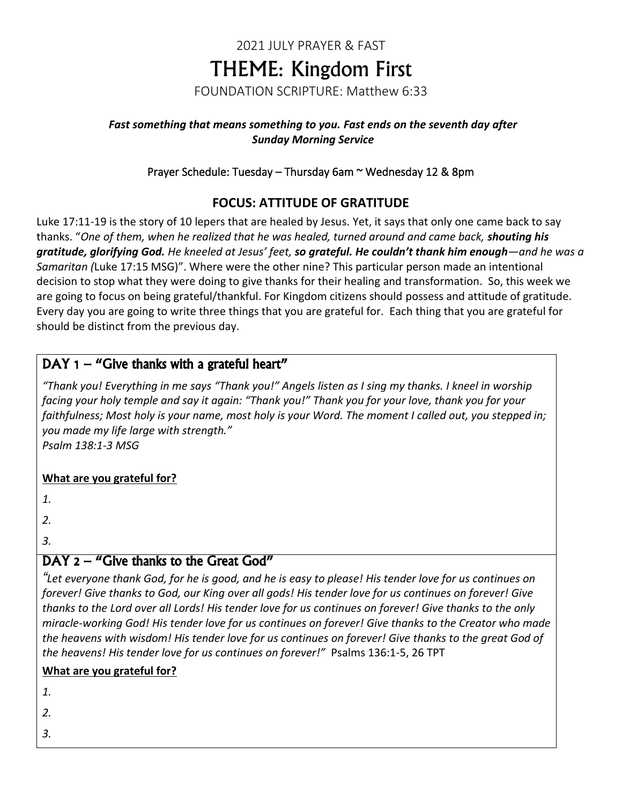# 2021 JULY PRAYER & FAST THEME: Kingdom First FOUNDATION SCRIPTURE: Matthew 6:33

#### *Fast something that means something to you. Fast ends on the seventh day after Sunday Morning Service*

### Prayer Schedule: Tuesday – Thursday 6am ~ Wednesday 12 & 8pm

## **FOCUS: ATTITUDE OF GRATITUDE**

Luke 17:11-19 is the story of 10 lepers that are healed by Jesus. Yet, it says that only one came back to say thanks. "*One of them, when he realized that he was healed, turned around and came back, shouting his gratitude, glorifying God. He kneeled at Jesus' feet, so grateful. He couldn't thank him enough—and he was a Samaritan (*Luke 17:15 MSG)". Where were the other nine? This particular person made an intentional decision to stop what they were doing to give thanks for their healing and transformation. So, this week we are going to focus on being grateful/thankful. For Kingdom citizens should possess and attitude of gratitude. Every day you are going to write three things that you are grateful for. Each thing that you are grateful for should be distinct from the previous day.

## DAY  $1 -$  "Give thanks with a grateful heart"

*"Thank you! Everything in me says "Thank you!" Angels listen as I sing my thanks. I kneel in worship facing your holy temple and say it again: "Thank you!" Thank you for your love, thank you for your faithfulness; Most holy is your name, most holy is your Word. The moment I called out, you stepped in; you made my life large with strength."*

*Psalm 138:1-3 MSG*

### **What are you grateful for?**

*1.*

*2.*

*3.*

## DAY 2 – "Give thanks to the Great God"

*"Let everyone thank God, for he is good, and he is easy to please! His tender love for us continues on forever! Give thanks to God, our King over all gods! His tender love for us continues on forever! Give thanks to the Lord over all Lords! His tender love for us continues on forever! Give thanks to the only miracle-working God! His tender love for us continues on forever! Give thanks to the Creator who made the heavens with wisdom! His tender love for us continues on forever! Give thanks to the great God of the heavens! His tender love for us continues on forever!"* Psalms 136:1-5, 26 TPT

### **What are you grateful for?**

*1.*

*2.*

*3.*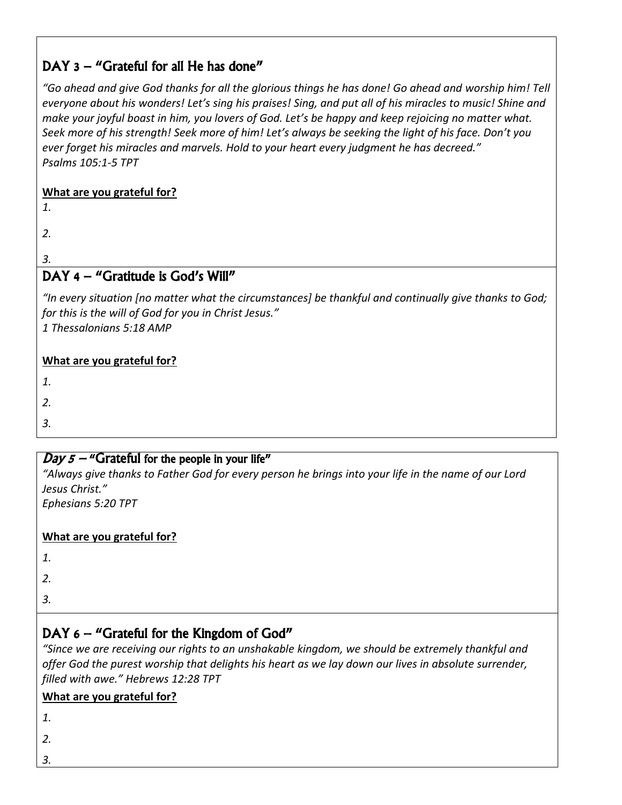## DAY 3 – "Grateful for all He has done"

*"Go ahead and give God thanks for all the glorious things he has done! Go ahead and worship him! Tell everyone about his wonders! Let's sing his praises! Sing, and put all of his miracles to music! Shine and make your joyful boast in him, you lovers of God. Let's be happy and keep rejoicing no matter what. Seek more of his strength! Seek more of him! Let's always be seeking the light of his face. Don't you ever forget his miracles and marvels. Hold to your heart every judgment he has decreed." Psalms 105:1-5 TPT*

### **What are you grateful for?**

*1.*

*2.*

# *3.*

## DAY 4 – "Gratitude is God's Will"

*"In every situation [no matter what the circumstances] be thankful and continually give thanks to God; for this is the will of God for you in Christ Jesus." 1 Thessalonians 5:18 AMP*

### **What are you grateful for?**

*1.*

*2.*

*3.*

## $Day 5 -$  "Grateful for the people in your life"

*"Always give thanks to Father God for every person he brings into your life in the name of our Lord Jesus Christ."*

*Ephesians 5:20 TPT*

### **What are you grateful for?**

*1.*

*2.*

- *3.*
- 

# DAY 6 – "Grateful for the Kingdom of God"

*"Since we are receiving our rights to an unshakable kingdom, we should be extremely thankful and offer God the purest worship that delights his heart as we lay down our lives in absolute surrender, filled with awe." Hebrews 12:28 TPT*

### **What are you grateful for?**

*1.*

- *2.*
- *3.*